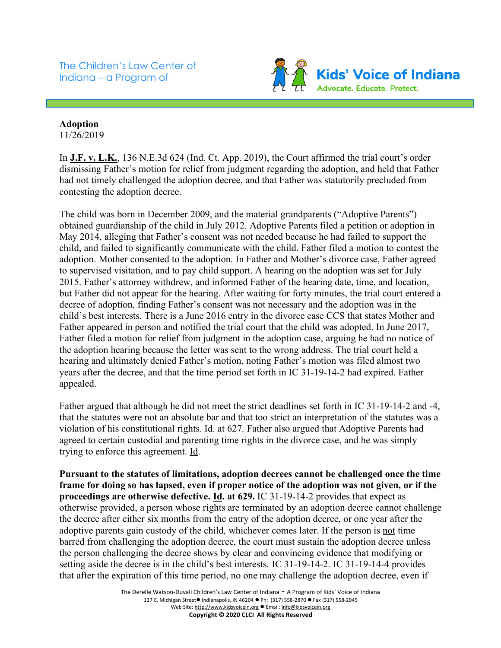The Children's Law Center of Indiana – a Program of



## **Adoption**

11/26/2019

In **J.F. v. L.K.**, 136 N.E.3d 624 (Ind. Ct. App. 2019), the Court affirmed the trial court's order dismissing Father's motion for relief from judgment regarding the adoption, and held that Father had not timely challenged the adoption decree, and that Father was statutorily precluded from contesting the adoption decree.

The child was born in December 2009, and the material grandparents ("Adoptive Parents") obtained guardianship of the child in July 2012. Adoptive Parents filed a petition or adoption in May 2014, alleging that Father's consent was not needed because he had failed to support the child, and failed to significantly communicate with the child. Father filed a motion to contest the adoption. Mother consented to the adoption. In Father and Mother's divorce case, Father agreed to supervised visitation, and to pay child support. A hearing on the adoption was set for July 2015. Father's attorney withdrew, and informed Father of the hearing date, time, and location, but Father did not appear for the hearing. After waiting for forty minutes, the trial court entered a decree of adoption, finding Father's consent was not necessary and the adoption was in the child's best interests. There is a June 2016 entry in the divorce case CCS that states Mother and Father appeared in person and notified the trial court that the child was adopted. In June 2017, Father filed a motion for relief from judgment in the adoption case, arguing he had no notice of the adoption hearing because the letter was sent to the wrong address. The trial court held a hearing and ultimately denied Father's motion, noting Father's motion was filed almost two years after the decree, and that the time period set forth in IC 31-19-14-2 had expired. Father appealed.

Father argued that although he did not meet the strict deadlines set forth in IC 31-19-14-2 and -4, that the statutes were not an absolute bar and that too strict an interpretation of the statutes was a violation of his constitutional rights. Id. at 627. Father also argued that Adoptive Parents had agreed to certain custodial and parenting time rights in the divorce case, and he was simply trying to enforce this agreement. Id.

**Pursuant to the statutes of limitations, adoption decrees cannot be challenged once the time frame for doing so has lapsed, even if proper notice of the adoption was not given, or if the proceedings are otherwise defective. Id. at 629.** IC 31-19-14-2 provides that expect as otherwise provided, a person whose rights are terminated by an adoption decree cannot challenge the decree after either six months from the entry of the adoption decree, or one year after the adoptive parents gain custody of the child, whichever comes later. If the person is not time barred from challenging the adoption decree, the court must sustain the adoption decree unless the person challenging the decree shows by clear and convincing evidence that modifying or setting aside the decree is in the child's best interests. IC 31-19-14-2. IC 31-19-14-4 provides that after the expiration of this time period, no one may challenge the adoption decree, even if

> The Derelle Watson-Duvall Children's Law Center of Indiana - A Program of Kids' Voice of Indiana 127 E. Michigan Street● Indianapolis, IN 46204 ● Ph: (317) 558-2870 ● Fax (317) 558-2945 Web Site: http://www.kidsvoicein.org ● Email: info@kidsvoicein.org